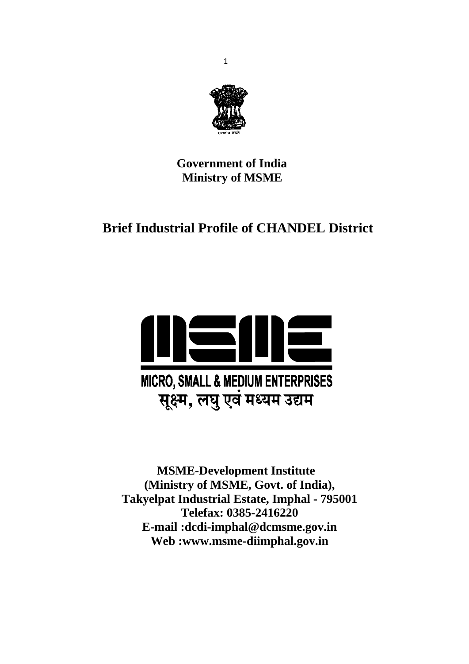

 **Government of India Ministry of MSME** 

# **Brief Industrial Profile of CHANDEL District**



 **MSME-Development Institute (Ministry of MSME, Govt. of India), Takyelpat Industrial Estate, Imphal - 795001 Telefax: 0385-2416220 E-mail :dcdi-imphal@dcmsme.gov.in Web :www.msme-diimphal.gov.in**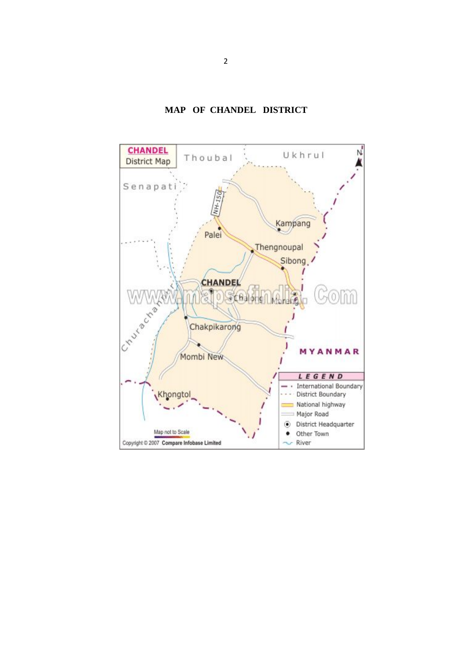

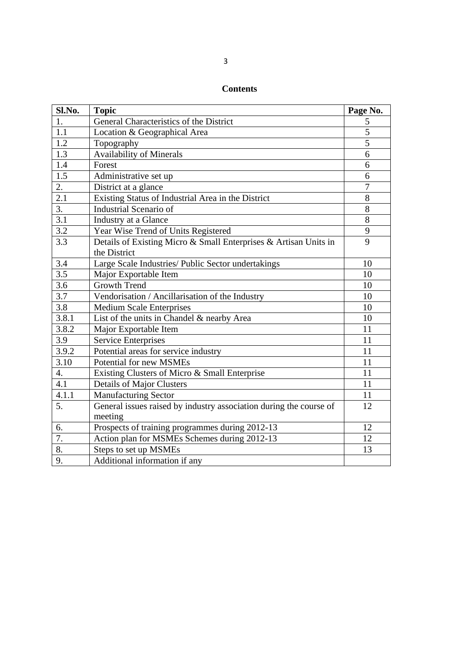# **Contents**

| Sl.No.           | <b>Topic</b>                                                                  | Page No.       |
|------------------|-------------------------------------------------------------------------------|----------------|
| 1.               | General Characteristics of the District                                       | 5              |
| 1.1              | Location & Geographical Area                                                  | 5              |
| 1.2              | Topography                                                                    | $\overline{5}$ |
| $1.\overline{3}$ | <b>Availability of Minerals</b>                                               | 6              |
| 1.4              | Forest                                                                        | 6              |
| $\overline{1.5}$ | Administrative set up                                                         | 6              |
| 2.               | District at a glance                                                          | $\overline{7}$ |
| 2.1              | Existing Status of Industrial Area in the District                            | 8              |
| 3.               | Industrial Scenario of                                                        | 8              |
| 3.1              | Industry at a Glance                                                          | 8              |
| 3.2              | Year Wise Trend of Units Registered                                           | 9              |
| 3.3              | Details of Existing Micro & Small Enterprises & Artisan Units in              | 9              |
|                  | the District                                                                  |                |
| 3.4              | Large Scale Industries/ Public Sector undertakings                            | 10             |
| 3.5              | Major Exportable Item                                                         | 10             |
| 3.6              | Growth Trend                                                                  | 10             |
| 3.7              | Vendorisation / Ancillarisation of the Industry                               | 10             |
| 3.8              | <b>Medium Scale Enterprises</b>                                               | 10             |
| 3.8.1            | List of the units in Chandel & nearby Area                                    | 10             |
| 3.8.2            | Major Exportable Item                                                         | 11             |
| 3.9              | <b>Service Enterprises</b>                                                    | 11             |
| 3.9.2            | Potential areas for service industry                                          | 11             |
| 3.10             | Potential for new MSMEs                                                       | 11             |
| 4.               | Existing Clusters of Micro & Small Enterprise                                 | 11             |
| 4.1              | <b>Details of Major Clusters</b>                                              | 11             |
| 4.1.1            | <b>Manufacturing Sector</b>                                                   | 11             |
| 5.               | General issues raised by industry association during the course of<br>meeting | 12             |
| 6.               | Prospects of training programmes during 2012-13                               | 12             |
| 7.               | Action plan for MSMEs Schemes during 2012-13                                  | 12             |
| 8.               | Steps to set up MSMEs                                                         | 13             |
| 9.               | Additional information if any                                                 |                |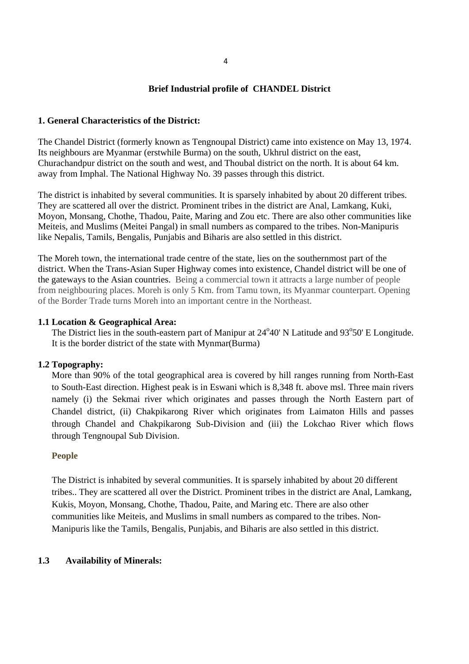#### **Brief Industrial profile of CHANDEL District**

#### **1. General Characteristics of the District:**

The Chandel District (formerly known as Tengnoupal District) came into existence on May 13, 1974. Its neighbours are Myanmar (erstwhile Burma) on the south, Ukhrul district on the east, Churachandpur district on the south and west, and Thoubal district on the north. It is about 64 km. away from Imphal. The National Highway No. 39 passes through this district.

The district is inhabited by several communities. It is sparsely inhabited by about 20 different tribes. They are scattered all over the district. Prominent tribes in the district are Anal, Lamkang, Kuki, Moyon, Monsang, Chothe, Thadou, Paite, Maring and Zou etc. There are also other communities like Meiteis, and Muslims (Meitei Pangal) in small numbers as compared to the tribes. Non-Manipuris like Nepalis, Tamils, Bengalis, Punjabis and Biharis are also settled in this district.

The Moreh town, the international trade centre of the state, lies on the southernmost part of the district. When the Trans-Asian Super Highway comes into existence, Chandel district will be one of the gateways to the Asian countries. Being a commercial town it attracts a large number of people from neighbouring places. Moreh is only 5 Km. from Tamu town, its Myanmar counterpart. Opening of the Border Trade turns Moreh into an important centre in the Northeast.

#### **1.1 Location & Geographical Area:**

The District lies in the south-eastern part of Manipur at  $24^{\circ}40'$  N Latitude and  $93^{\circ}50'$  E Longitude. It is the border district of the state with Mynmar(Burma)

#### **1.2 Topography:**

More than 90% of the total geographical area is covered by hill ranges running from North-East to South-East direction. Highest peak is in Eswani which is 8,348 ft. above msl. Three main rivers namely (i) the Sekmai river which originates and passes through the North Eastern part of Chandel district, (ii) Chakpikarong River which originates from Laimaton Hills and passes through Chandel and Chakpikarong Sub-Division and (iii) the Lokchao River which flows through Tengnoupal Sub Division.

#### **People**

The District is inhabited by several communities. It is sparsely inhabited by about 20 different tribes.. They are scattered all over the District. Prominent tribes in the district are Anal, Lamkang, Kukis, Moyon, Monsang, Chothe, Thadou, Paite, and Maring etc. There are also other communities like Meiteis, and Muslims in small numbers as compared to the tribes. Non-Manipuris like the Tamils, Bengalis, Punjabis, and Biharis are also settled in this district.

#### **1.3 Availability of Minerals:**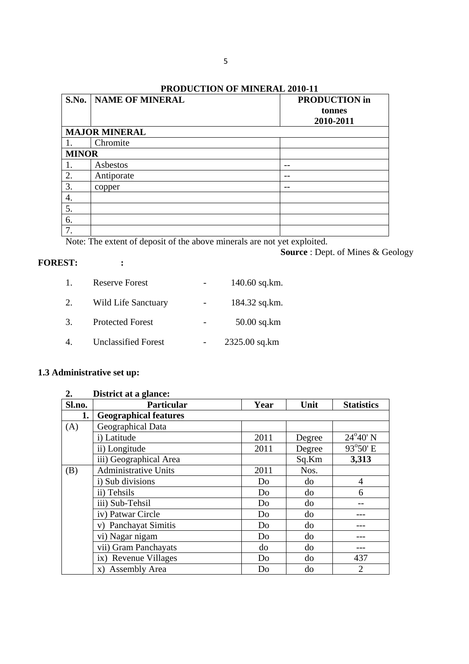# **PRODUCTION OF MINERAL 2010-11**

| S.No.        | <b>NAME OF MINERAL</b> | <b>PRODUCTION</b> in<br>tonnes<br>2010-2011 |
|--------------|------------------------|---------------------------------------------|
|              | <b>MAJOR MINERAL</b>   |                                             |
|              | Chromite               |                                             |
| <b>MINOR</b> |                        |                                             |
| 1.           | Asbestos               |                                             |
| 2.           | Antiporate             |                                             |
| 3.           | copper                 | --                                          |
| 4.           |                        |                                             |
| 5.           |                        |                                             |
| 6.           |                        |                                             |
| 7.           |                        |                                             |

Note: The extent of deposit of the above minerals are not yet exploited.

#### **FOREST: :**

**Source** : Dept. of Mines & Geology

| $\mathbf{L}$ | <b>Reserve Forest</b>      | $140.60$ sq.km. |
|--------------|----------------------------|-----------------|
| 2.           | Wild Life Sanctuary        | 184.32 sq.km.   |
| 3.           | <b>Protected Forest</b>    | $50.00$ sq.km   |
|              | <b>Unclassified Forest</b> | 2325.00 sq.km   |

# **1.3 Administrative set up:**

| 2.     | District at a glance:        |      |        |                   |  |
|--------|------------------------------|------|--------|-------------------|--|
| Sl.no. | Particular                   | Year | Unit   | <b>Statistics</b> |  |
| 1.     | <b>Geographical features</b> |      |        |                   |  |
| (A)    | Geographical Data            |      |        |                   |  |
|        | i) Latitude                  | 2011 | Degree | $24^{\circ}40'$ N |  |
|        | ii) Longitude                | 2011 | Degree | 93°50' E          |  |
|        | iii) Geographical Area       |      | Sq.Km  | 3,313             |  |
| (B)    | <b>Administrative Units</b>  | 2011 | Nos.   |                   |  |
|        | i) Sub divisions             | Do   | do     | $\overline{4}$    |  |
|        | ii) Tehsils                  | Do   | do     | 6                 |  |
|        | iii) Sub-Tehsil              | Do   | do     |                   |  |
|        | iv) Patwar Circle            | Do   | do     |                   |  |
|        | v) Panchayat Simitis         | Do   | do     |                   |  |
|        | vi) Nagar nigam              | Do   | do     |                   |  |
|        | vii) Gram Panchayats         | do   | do     |                   |  |
|        | ix) Revenue Villages         | Do   | do     | 437               |  |
|        | x) Assembly Area             | Do   | do     | $\overline{2}$    |  |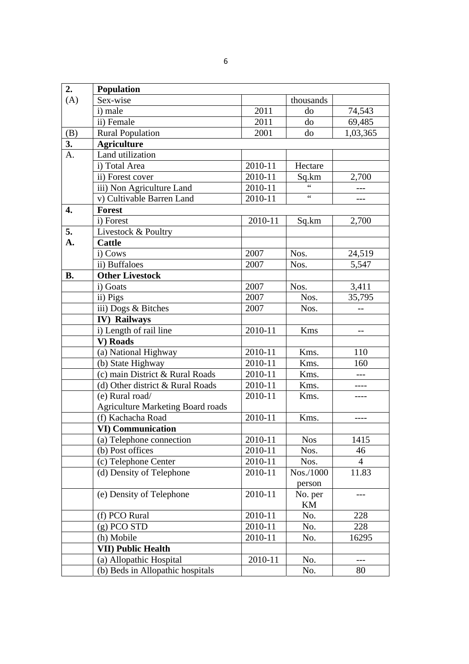| 2.        | Population                               |         |                 |                |
|-----------|------------------------------------------|---------|-----------------|----------------|
| (A)       | Sex-wise                                 |         | thousands       |                |
|           | i) male                                  | 2011    | do              | 74,543         |
|           | ii) Female                               | 2011    | do              | 69,485         |
| (B)       | <b>Rural Population</b>                  | 2001    | do              | 1,03,365       |
| 3.        | <b>Agriculture</b>                       |         |                 |                |
| A.        | Land utilization                         |         |                 |                |
|           | i) Total Area                            | 2010-11 | Hectare         |                |
|           | ii) Forest cover                         | 2010-11 | Sq.km           | 2,700          |
|           | iii) Non Agriculture Land                | 2010-11 |                 |                |
|           | v) Cultivable Barren Land                | 2010-11 | $\zeta$ $\zeta$ | ---            |
| 4.        | Forest                                   |         |                 |                |
|           | i) Forest                                | 2010-11 | Sq.km           | 2,700          |
| 5.        | Livestock & Poultry                      |         |                 |                |
| A.        | <b>Cattle</b>                            |         |                 |                |
|           | i) Cows                                  | 2007    | Nos.            | 24,519         |
|           | ii) Buffaloes                            | 2007    | Nos.            | 5,547          |
| <b>B.</b> | <b>Other Livestock</b>                   |         |                 |                |
|           | i) Goats                                 | 2007    | Nos.            | 3,411          |
|           | ii) Pigs                                 | 2007    | Nos.            | 35,795         |
|           | iii) Dogs & Bitches                      | 2007    | Nos.            |                |
|           | <b>IV)</b> Railways                      |         |                 |                |
|           | i) Length of rail line                   | 2010-11 | Kms             | --             |
|           | V) Roads                                 |         |                 |                |
|           | (a) National Highway                     | 2010-11 | Kms.            | 110            |
|           | (b) State Highway                        | 2010-11 | Kms.            | 160            |
|           | (c) main District & Rural Roads          | 2010-11 | Kms.            | $\overline{a}$ |
|           | (d) Other district & Rural Roads         | 2010-11 | Kms.            | ----           |
|           | (e) Rural road/                          | 2010-11 | Kms.            |                |
|           | <b>Agriculture Marketing Board roads</b> |         |                 |                |
|           | (f) Kachacha Road                        | 2010-11 | Kms.            |                |
|           | <b>VI) Communication</b>                 |         |                 |                |
|           | (a) Telephone connection                 | 2010-11 | <b>Nos</b>      | 1415           |
|           | (b) Post offices                         | 2010-11 | Nos.            | 46             |
|           | (c) Telephone Center                     | 2010-11 | Nos.            | $\overline{4}$ |
|           | (d) Density of Telephone                 | 2010-11 | Nos./1000       | 11.83          |
|           |                                          |         | person          |                |
|           | (e) Density of Telephone                 | 2010-11 | No. per         |                |
|           |                                          |         | KM              |                |
|           | (f) PCO Rural                            | 2010-11 | No.             | 228            |
|           | $(g)$ PCO STD                            | 2010-11 | No.             | 228            |
|           | (h) Mobile                               | 2010-11 | No.             | 16295          |
|           | <b>VII) Public Health</b>                |         |                 |                |
|           | (a) Allopathic Hospital                  | 2010-11 | No.             |                |
|           | (b) Beds in Allopathic hospitals         |         | No.             | 80             |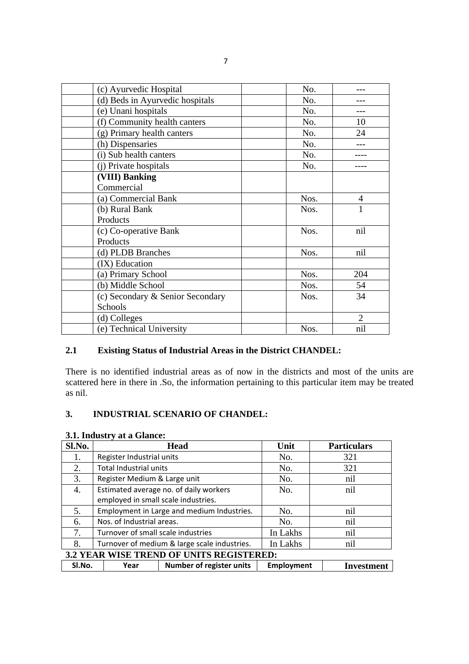| (c) Ayurvedic Hospital           | No.  |                |
|----------------------------------|------|----------------|
| (d) Beds in Ayurvedic hospitals  | No.  |                |
| (e) Unani hospitals              | No.  |                |
| (f) Community health canters     | No.  | 10             |
| (g) Primary health canters       | No.  | 24             |
| (h) Dispensaries                 | No.  |                |
| (i) Sub health canters           | No.  |                |
| (j) Private hospitals            | No.  |                |
| (VIII) Banking                   |      |                |
| Commercial                       |      |                |
| (a) Commercial Bank              | Nos. | 4              |
| (b) Rural Bank                   | Nos. | 1              |
| Products                         |      |                |
| (c) Co-operative Bank            | Nos. | nil            |
| Products                         |      |                |
| (d) PLDB Branches                | Nos. | nil            |
| (IX) Education                   |      |                |
| (a) Primary School               | Nos. | 204            |
| (b) Middle School                | Nos. | 54             |
| (c) Secondary & Senior Secondary | Nos. | 34             |
| Schools                          |      |                |
| (d) Colleges                     |      | $\overline{2}$ |
| (e) Technical University         | Nos. | nil            |

# **2.1 Existing Status of Industrial Areas in the District CHANDEL:**

There is no identified industrial areas as of now in the districts and most of the units are scattered here in there in .So, the information pertaining to this particular item may be treated as nil.

## **3. INDUSTRIAL SCENARIO OF CHANDEL:**

| Sl.No.                                   | <b>Head</b>                                  |                              | Unit              | <b>Particulars</b> |
|------------------------------------------|----------------------------------------------|------------------------------|-------------------|--------------------|
| 1.                                       | Register Industrial units                    |                              | No.               | 321                |
| 2.                                       | Total Industrial units                       |                              | No.               | 321                |
| 3.                                       |                                              | Register Medium & Large unit |                   | nil                |
| 4.                                       | Estimated average no. of daily workers       |                              | No.               | nil                |
|                                          | employed in small scale industries.          |                              |                   |                    |
| 5.                                       | Employment in Large and medium Industries.   |                              | No.               | nil                |
| 6.                                       | Nos. of Industrial areas.                    |                              | No.               | nil                |
| 7.                                       | Turnover of small scale industries           |                              | In Lakhs          | nil                |
| 8.                                       | Turnover of medium & large scale industries. |                              | In Lakhs          | nil                |
| 3.2 YEAR WISE TREND OF UNITS REGISTERED: |                                              |                              |                   |                    |
| SI.No.                                   | Year                                         | Number of register units     | <b>Employment</b> | Investment         |

## **3.1. Industry at a Glance:**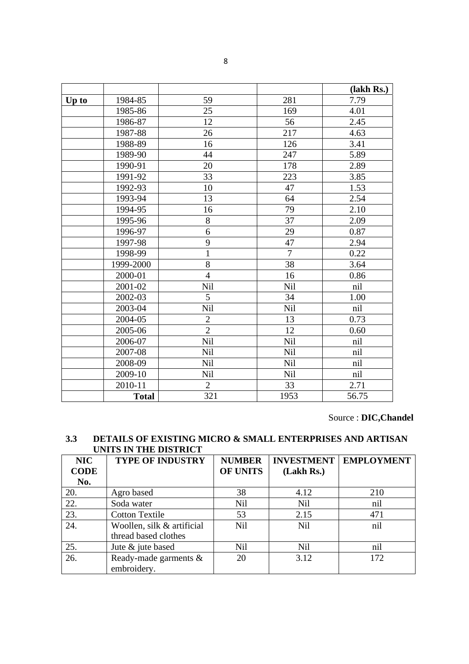|       |              |                |                | (lakh Rs.) |
|-------|--------------|----------------|----------------|------------|
| Up to | 1984-85      | 59             | 281            | 7.79       |
|       | 1985-86      | 25             | 169            | 4.01       |
|       | 1986-87      | 12             | 56             | 2.45       |
|       | 1987-88      | 26             | 217            | 4.63       |
|       | 1988-89      | 16             | 126            | 3.41       |
|       | 1989-90      | 44             | 247            | 5.89       |
|       | 1990-91      | 20             | 178            | 2.89       |
|       | 1991-92      | 33             | 223            | 3.85       |
|       | 1992-93      | 10             | 47             | 1.53       |
|       | 1993-94      | 13             | 64             | 2.54       |
|       | 1994-95      | 16             | 79             | 2.10       |
|       | 1995-96      | 8              | 37             | 2.09       |
|       | 1996-97      | 6              | 29             | 0.87       |
|       | 1997-98      | 9              | 47             | 2.94       |
|       | 1998-99      | $\mathbf{1}$   | $\overline{7}$ | 0.22       |
|       | 1999-2000    | 8              | 38             | 3.64       |
|       | 2000-01      | $\overline{4}$ | 16             | 0.86       |
|       | 2001-02      | <b>Nil</b>     | Nil            | nil        |
|       | 2002-03      | 5              | 34             | 1.00       |
|       | 2003-04      | Nil            | <b>Nil</b>     | nil        |
|       | 2004-05      | $\overline{2}$ | 13             | 0.73       |
|       | 2005-06      | $\overline{2}$ | 12             | 0.60       |
|       | 2006-07      | Nil            | Nil            | nil        |
|       | 2007-08      | <b>Nil</b>     | Nil            | nil        |
|       | 2008-09      | Nil            | Nil            | nil        |
|       | 2009-10      | <b>Nil</b>     | Nil            | nil        |
|       | 2010-11      | $\overline{2}$ | 33             | 2.71       |
|       | <b>Total</b> | 321            | 1953           | 56.75      |

Source : **DIC,Chandel**

# **3.3 DETAILS OF EXISTING MICRO & SMALL ENTERPRISES AND ARTISAN UNITS IN THE DISTRICT**

| NIC         | <b>TYPE OF INDUSTRY</b>    | <b>NUMBER</b>   | <b>INVESTMENT</b> | <b>EMPLOYMENT</b> |
|-------------|----------------------------|-----------------|-------------------|-------------------|
| <b>CODE</b> |                            | <b>OF UNITS</b> | (Lakh Rs.)        |                   |
| No.         |                            |                 |                   |                   |
| 20.         | Agro based                 | 38              | 4.12              | 210               |
| 22.         | Soda water                 | Nil             | <b>Nil</b>        | nil               |
| 23.         | <b>Cotton Textile</b>      | 53              | 2.15              | 471               |
| 24.         | Woollen, silk & artificial | N <sub>il</sub> | N <sub>il</sub>   | nil               |
|             | thread based clothes       |                 |                   |                   |
| 25.         | Jute & jute based          | Nil             | <b>Nil</b>        | nil               |
| 26.         | Ready-made garments &      | 20              | 3.12              | 172               |
|             | embroidery.                |                 |                   |                   |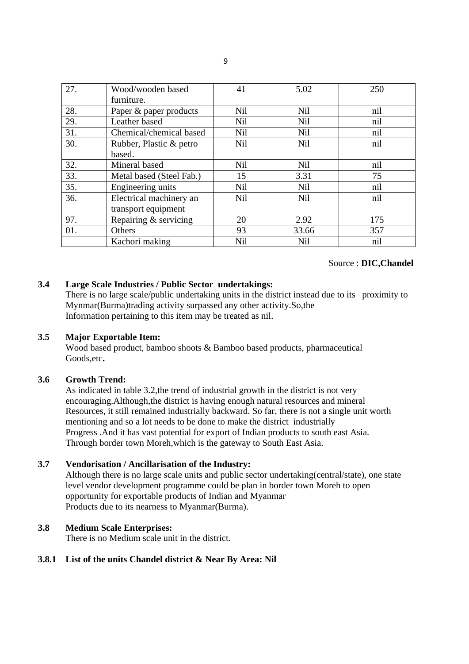| 27. | Wood/wooden based        | 41         | 5.02            | 250 |
|-----|--------------------------|------------|-----------------|-----|
|     | furniture.               |            |                 |     |
| 28. | Paper & paper products   | Nil        | <b>Nil</b>      | nil |
| 29. | Leather based            | <b>Nil</b> | Nil             | nil |
| 31. | Chemical/chemical based  | Nil        | <b>Nil</b>      | nil |
| 30. | Rubber, Plastic & petro  | Nil        | <b>Nil</b>      | nil |
|     | based.                   |            |                 |     |
| 32. | Mineral based            | Nil        | N <sub>il</sub> | nil |
| 33. | Metal based (Steel Fab.) | 15         | 3.31            | 75  |
| 35. | Engineering units        | Nil        | N <sub>il</sub> | nil |
| 36. | Electrical machinery an  | Nil        | <b>Nil</b>      | nil |
|     | transport equipment      |            |                 |     |
| 97. | Repairing & servicing    | 20         | 2.92            | 175 |
| 01. | Others                   | 93         | 33.66           | 357 |
|     | Kachori making           | Nil        | <b>Nil</b>      | nil |

## Source : **DIC,Chandel**

## **3.4 Large Scale Industries / Public Sector undertakings:**

There is no large scale/public undertaking units in the district instead due to its proximity to Mynmar(Burma)trading activity surpassed any other activity.So,the Information pertaining to this item may be treated as nil.

## **3.5 Major Exportable Item:**

Wood based product, bamboo shoots & Bamboo based products, pharmaceutical Goods,etc**.**

## **3.6 Growth Trend:**

As indicated in table 3.2,the trend of industrial growth in the district is not very encouraging.Although,the district is having enough natural resources and mineral Resources, it still remained industrially backward. So far, there is not a single unit worth mentioning and so a lot needs to be done to make the district industrially Progress .And it has vast potential for export of Indian products to south east Asia. Through border town Moreh,which is the gateway to South East Asia.

## **3.7 Vendorisation / Ancillarisation of the Industry:**

Although there is no large scale units and public sector undertaking(central/state), one state level vendor development programme could be plan in border town Moreh to open opportunity for exportable products of Indian and Myanmar Products due to its nearness to Myanmar(Burma).

## **3.8 Medium Scale Enterprises:**

There is no Medium scale unit in the district.

## **3.8.1 List of the units Chandel district & Near By Area: Nil**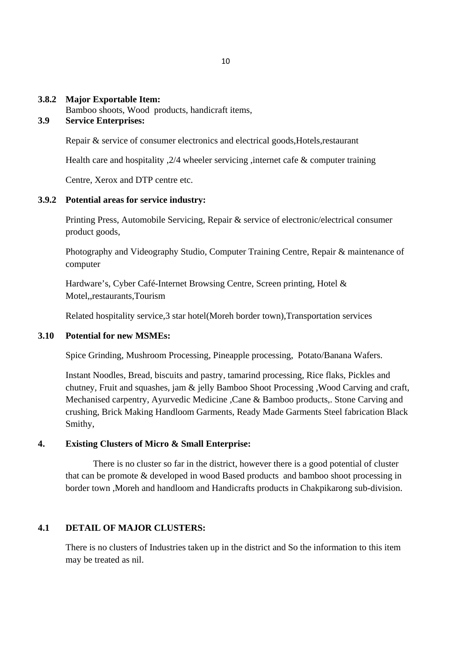#### **3.8.2 Major Exportable Item:**

Bamboo shoots, Wood products, handicraft items,

## **3.9 Service Enterprises:**

Repair & service of consumer electronics and electrical goods,Hotels,restaurant

Health care and hospitality ,2/4 wheeler servicing ,internet cafe & computer training

Centre, Xerox and DTP centre etc.

#### **3.9.2 Potential areas for service industry:**

Printing Press, Automobile Servicing, Repair & service of electronic/electrical consumer product goods,

Photography and Videography Studio, Computer Training Centre, Repair & maintenance of computer

Hardware's, Cyber Café-Internet Browsing Centre, Screen printing, Hotel & Motel,,restaurants,Tourism

Related hospitality service,3 star hotel(Moreh border town),Transportation services

#### **3.10 Potential for new MSMEs:**

Spice Grinding, Mushroom Processing, Pineapple processing, Potato/Banana Wafers.

Instant Noodles, Bread, biscuits and pastry, tamarind processing, Rice flaks, Pickles and chutney, Fruit and squashes, jam & jelly Bamboo Shoot Processing ,Wood Carving and craft, Mechanised carpentry, Ayurvedic Medicine ,Cane & Bamboo products,. Stone Carving and crushing, Brick Making Handloom Garments, Ready Made Garments Steel fabrication Black Smithy,

## **4. Existing Clusters of Micro & Small Enterprise:**

There is no cluster so far in the district, however there is a good potential of cluster that can be promote & developed in wood Based products and bamboo shoot processing in border town ,Moreh and handloom and Handicrafts products in Chakpikarong sub-division.

## **4.1 DETAIL OF MAJOR CLUSTERS:**

There is no clusters of Industries taken up in the district and So the information to this item may be treated as nil.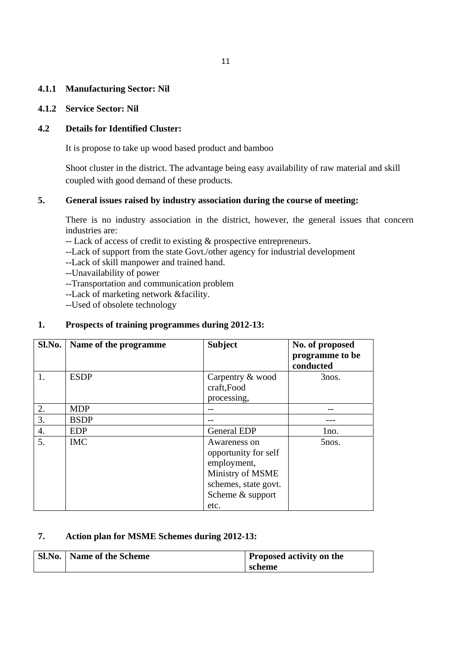#### **4.1.1 Manufacturing Sector: Nil**

#### **4.1.2 Service Sector: Nil**

## **4.2 Details for Identified Cluster:**

It is propose to take up wood based product and bamboo

Shoot cluster in the district. The advantage being easy availability of raw material and skill coupled with good demand of these products.

#### **5. General issues raised by industry association during the course of meeting:**

There is no industry association in the district, however, the general issues that concern industries are:

-- Lack of access of credit to existing & prospective entrepreneurs.

--Lack of support from the state Govt./other agency for industrial development

--Lack of skill manpower and trained hand.

--Unavailability of power

--Transportation and communication problem

--Lack of marketing network &facility.

--Used of obsolete technology

#### **1. Prospects of training programmes during 2012-13:**

| Sl.No. | Name of the programme | <b>Subject</b>       | No. of proposed<br>programme to be<br>conducted |
|--------|-----------------------|----------------------|-------------------------------------------------|
| 1.     | <b>ESDP</b>           | Carpentry & wood     | 3nos.                                           |
|        |                       | craft,Food           |                                                 |
|        |                       | processing,          |                                                 |
| 2.     | <b>MDP</b>            |                      |                                                 |
| 3.     | <b>BSDP</b>           |                      |                                                 |
| 4.     | <b>EDP</b>            | <b>General EDP</b>   | 1no.                                            |
| 5.     | <b>IMC</b>            | Awareness on         | 5nos.                                           |
|        |                       | opportunity for self |                                                 |
|        |                       | employment,          |                                                 |
|        |                       | Ministry of MSME     |                                                 |
|        |                       | schemes, state govt. |                                                 |
|        |                       | Scheme & support     |                                                 |
|        |                       | etc.                 |                                                 |

## **7. Action plan for MSME Schemes during 2012-13:**

| Sl.No.   Name of the Scheme | <b>Proposed activity on the</b> |
|-----------------------------|---------------------------------|
|                             | scheme                          |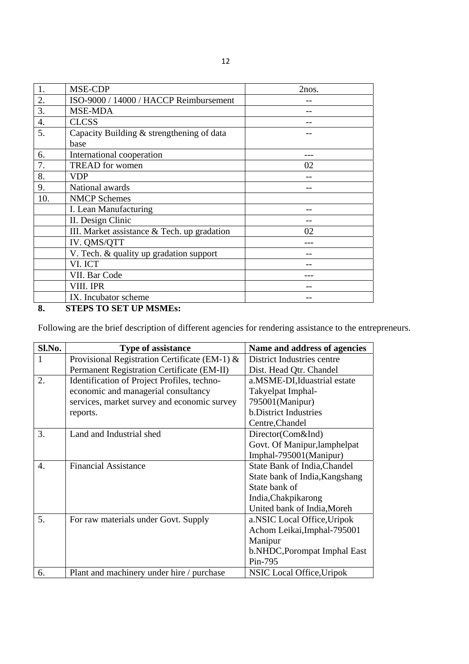| 1.  | MSE-CDP                                                                  | 2nos. |
|-----|--------------------------------------------------------------------------|-------|
| 2.  | ISO-9000 / 14000 / HACCP Reimbursement                                   |       |
| 3.  | <b>MSE-MDA</b>                                                           |       |
| 4.  | <b>CLCSS</b>                                                             |       |
| 5.  | Capacity Building & strengthening of data                                |       |
|     | base                                                                     |       |
| 6.  | International cooperation                                                |       |
| 7.  | <b>TREAD</b> for women                                                   | 02    |
| 8.  | <b>VDP</b>                                                               |       |
| 9.  | National awards                                                          |       |
| 10. | <b>NMCP</b> Schemes                                                      |       |
|     | I. Lean Manufacturing                                                    |       |
|     | II. Design Clinic                                                        |       |
|     | III. Market assistance & Tech. up gradation                              | 02    |
|     | IV. QMS/QTT                                                              |       |
|     | V. Tech. & quality up gradation support                                  |       |
|     | VI. ICT                                                                  |       |
|     | VII. Bar Code                                                            |       |
|     | VIII. IPR                                                                |       |
|     | IX. Incubator scheme<br>$\sim$ $\sim$ $\sim$ $\sim$ $\sim$ $\sim$ $\sim$ |       |

**8. STEPS TO SET UP MSMEs:**

Following are the brief description of different agencies for rendering assistance to the entrepreneurs.

| Sl.No.           | <b>Type of assistance</b>                     | Name and address of agencies   |
|------------------|-----------------------------------------------|--------------------------------|
| 1                | Provisional Registration Certificate (EM-1) & | District Industries centre     |
|                  | Permanent Registration Certificate (EM-II)    | Dist. Head Qtr. Chandel        |
| 2.               | Identification of Project Profiles, techno-   | a.MSME-DI, Iduastrial estate   |
|                  | economic and managerial consultancy           | Takyelpat Imphal-              |
|                  | services, market survey and economic survey   | 795001(Manipur)                |
|                  | reports.                                      | <b>b.</b> District Industries  |
|                  |                                               | Centre, Chandel                |
| 3.               | Land and Industrial shed                      | Director(Com&Ind)              |
|                  |                                               | Govt. Of Manipur, lamphelpat   |
|                  |                                               | Imphal-795001(Manipur)         |
| $\overline{4}$ . | <b>Financial Assistance</b>                   | State Bank of India, Chandel   |
|                  |                                               | State bank of India, Kangshang |
|                  |                                               | State bank of                  |
|                  |                                               | India, Chakpikarong            |
|                  |                                               | United bank of India, Moreh    |
| 5.               | For raw materials under Govt. Supply          | a.NSIC Local Office, Uripok    |
|                  |                                               | Achom Leikai, Imphal-795001    |
|                  |                                               | Manipur                        |
|                  |                                               | b.NHDC, Porompat Imphal East   |
|                  |                                               | Pin-795                        |
| 6.               | Plant and machinery under hire / purchase     | NSIC Local Office, Uripok      |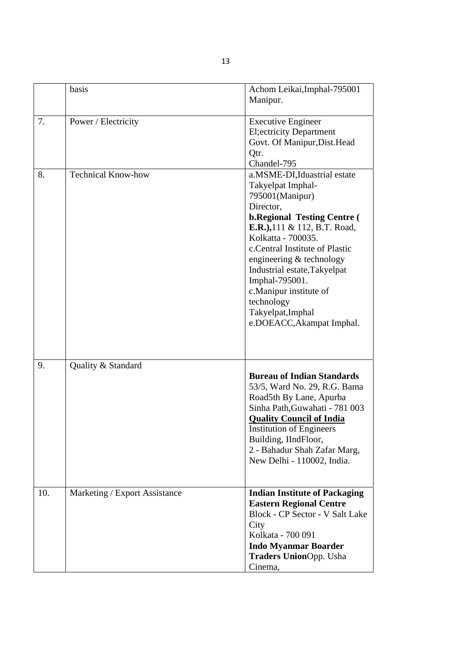|     | basis                         | Achom Leikai, Imphal-795001<br>Manipur.                                                                                                                                                                                                                                                                                                                                                  |
|-----|-------------------------------|------------------------------------------------------------------------------------------------------------------------------------------------------------------------------------------------------------------------------------------------------------------------------------------------------------------------------------------------------------------------------------------|
| 7.  | Power / Electricity           | <b>Executive Engineer</b><br><b>El</b> ; ectricity Department<br>Govt. Of Manipur, Dist. Head<br>Qtr.<br>Chandel-795                                                                                                                                                                                                                                                                     |
| 8.  | <b>Technical Know-how</b>     | a.MSME-DI, Iduastrial estate<br>Takyelpat Imphal-<br>795001(Manipur)<br>Director.<br><b>b.Regional Testing Centre (</b><br>E.R.), 111 & 112, B.T. Road,<br>Kolkatta - 700035.<br>c. Central Institute of Plastic<br>engineering & technology<br>Industrial estate, Takyelpat<br>Imphal-795001.<br>c.Manipur institute of<br>technology<br>Takyelpat, Imphal<br>e.DOEACC, Akampat Imphal. |
| 9.  | Quality & Standard            | <b>Bureau of Indian Standards</b><br>53/5, Ward No. 29, R.G. Bama<br>Road5th By Lane, Apurba<br>Sinha Path, Guwahati - 781 003<br><b>Quality Council of India</b><br><b>Institution of Engineers</b><br>Building, IIndFloor,<br>2 - Bahadur Shah Zafar Marg,<br>New Delhi - 110002, India.                                                                                               |
| 10. | Marketing / Export Assistance | <b>Indian Institute of Packaging</b><br><b>Eastern Regional Centre</b><br>Block - CP Sector - V Salt Lake<br>City<br>Kolkata - 700 091<br><b>Indo Myanmar Boarder</b><br><b>Traders UnionOpp. Usha</b><br>Cinema,                                                                                                                                                                        |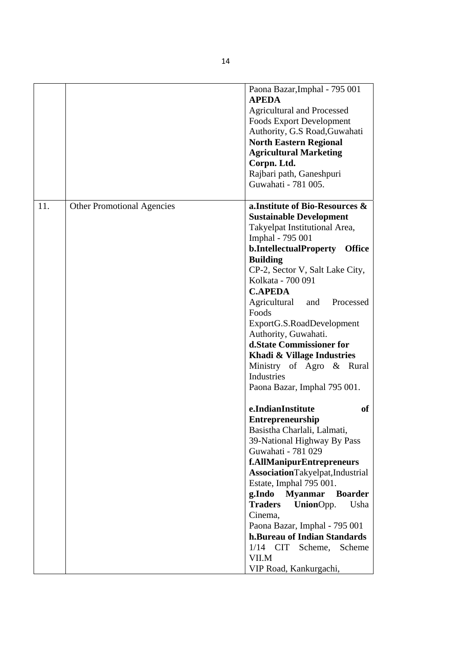|     |                                   | Paona Bazar, Imphal - 795 001<br><b>APEDA</b><br><b>Agricultural and Processed</b><br><b>Foods Export Development</b><br>Authority, G.S Road, Guwahati<br><b>North Eastern Regional</b><br><b>Agricultural Marketing</b><br>Corpn. Ltd.<br>Rajbari path, Ganeshpuri<br>Guwahati - 781 005.                                                                                                                                                                                                           |
|-----|-----------------------------------|------------------------------------------------------------------------------------------------------------------------------------------------------------------------------------------------------------------------------------------------------------------------------------------------------------------------------------------------------------------------------------------------------------------------------------------------------------------------------------------------------|
| 11. | <b>Other Promotional Agencies</b> | a. Institute of Bio-Resources &<br><b>Sustainable Development</b><br>Takyelpat Institutional Area,<br>Imphal - 795 001<br>b.IntellectualProperty<br><b>Office</b><br><b>Building</b><br>CP-2, Sector V, Salt Lake City,<br>Kolkata - 700 091<br><b>C.APEDA</b><br>Agricultural<br>Processed<br>and<br>Foods<br>ExportG.S.RoadDevelopment<br>Authority, Guwahati.<br>d.State Commissioner for<br>Khadi & Village Industries<br>Ministry of Agro & Rural<br>Industries<br>Paona Bazar, Imphal 795 001. |
|     |                                   | e.IndianInstitute<br>of<br>Entrepreneurship<br>Basistha Charlali, Lalmati,<br>39-National Highway By Pass<br>Guwahati - 781 029<br>f.AllManipurEntrepreneurs<br>AssociationTakyelpat,Industrial<br>Estate, Imphal 795 001.<br>g.Indo<br><b>Myanmar</b><br><b>Boarder</b><br>UnionOpp.<br><b>Traders</b><br>Usha<br>Cinema,<br>Paona Bazar, Imphal - 795 001<br>h.Bureau of Indian Standards<br>$1/14$ CIT<br>Scheme, Scheme<br>VII.M<br>VIP Road, Kankurgachi,                                       |